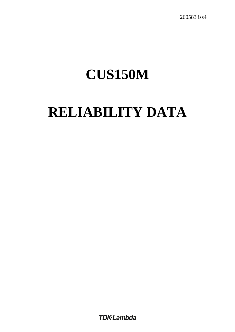260583 iss4

# **CUS150M**

# **RELIABILITY DATA**

**TDK**-Lambda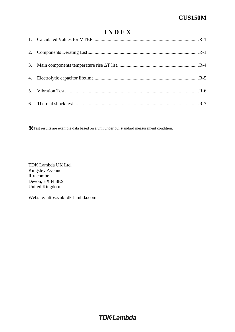### **I N D E X**

※Test results are example data based on a unit under our standard measurement condition.

TDK Lambda UK Ltd. Kingsley Avenue Ilfracombe Devon, EX34 8ES United Kingdom

Website: https://uk.tdk-lambda.com

# **TDK**-Lambda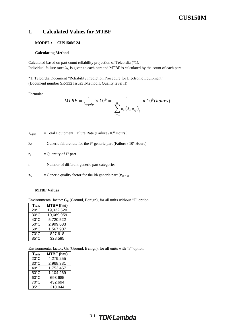#### <span id="page-2-0"></span>**1. Calculated Values for MTBF**

#### **MODEL : CUS150M-24**

#### **Calculating Method**

Calculated based on part count reliability projection of Telcordia (\*1). Individual failure rates  $\lambda_G$  is given to each part and MTBF is calculated by the count of each part.

\*1: Telcordia Document "Reliability Prediction Procedure for Electronic Equipment" (Document number SR-332 Issue3 ,Method I, Quality level II)

Formula:

$$
MTBF = \frac{1}{\lambda_{equip}} \times 10^6 = \frac{1}{\sum_{i=1}^{n} n_i (\lambda_c \pi_Q)_i} \times 10^6 (hours)
$$

 $\lambda_{\text{equiv}}$  = Total Equipment Failure Rate (Failure /10<sup>6</sup> Hours)

$$
\lambda_G
$$
 = Generic failure rate for the i<sup>th</sup> generic part (Failure / 10<sup>6</sup> Hours)

 $n_i$  = Quantity of  $i^{th}$  part

- $n =$  Number of different generic part categories
- $\pi_{\text{O}}$  = Generic quality factor for the ith generic part ( $\pi_{\text{O}} = 1$ )

#### **MTBF Values**

Environmental factor:  $G_B$  (Ground, Benign), for all units without "F" option

| $T_{amb}$      | MTBF (hrs) |
|----------------|------------|
| $20^{\circ}$ C | 19,022,520 |
| 30°C           | 10,669,959 |
| $40^{\circ}$ C | 5,720,522  |
| $50^{\circ}$ C | 2.999,683  |
| $60^{\circ}$ C | 1,567,907  |
| 70°C           | 827,618    |
| $85^{\circ}$ C | 328,595    |

<span id="page-2-1"></span>Environmental factor:  $G_B$  (Ground, Benign), for all units with "F" option

| $T_{amb}$      | <b>MTBF (hrs)</b> |
|----------------|-------------------|
| $20^{\circ}$ C | 4,279,255         |
| $30^{\circ}$ C | 2,968,381         |
| 40°C           | 1,753,457         |
| $50^{\circ}$ C | 1,104,269         |
| $60^{\circ}$ C | 693,685           |
| $70^{\circ}$ C | 432,694           |
| 85°C           | 210,044           |

## R-1 TDK-Lambda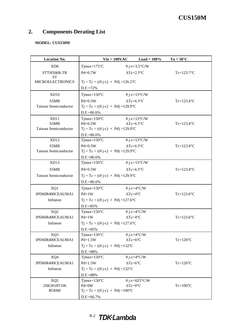### **2. Components Derating List**

### **MODEL: CUS150M**

| <b>Location No.</b>         | $Vin = 100VAC$                                          | $Load = 100\%$           | $Ta = 50^{\circ}C$ |
|-----------------------------|---------------------------------------------------------|--------------------------|--------------------|
| XD <sub>8</sub>             | $T$ jmax= $175^{\circ}$ C                               | $\theta$ j-c=3.5°C/W     |                    |
| STTH506B-TR                 | $Pd=0.7W$                                               | $\Delta Tc=2.5^{\circ}C$ | $Tc=123.7$ °C      |
| <b>ST</b>                   |                                                         |                          |                    |
| <b>MICROELECTRONICS</b>     | $Tj = Tc + ((\theta j - c) \times Pd) = 126.2^{\circ}C$ |                          |                    |
|                             | D.F.=72%                                                |                          |                    |
| XD10                        | $T$ jmax= $150^{\circ}$ C                               | $\theta$ j-c=13°C/W      |                    |
| S5MB                        | $Pd=0.5W$                                               | $\Delta Tc=6.5^{\circ}C$ | $Tc=123.4$ °C      |
| <b>Taiwan Semiconductor</b> | $Tj = Tc + ((\theta j - c) \times Pd) = 129.9^{\circ}C$ |                          |                    |
|                             | D.F.=86.6%                                              |                          |                    |
| XD11                        | $T$ jmax=150 $\degree$ C                                | $\theta$ j-c=13°C/W      |                    |
| S5MB                        | $Pd=0.5W$                                               | $\Delta Tc = 6.5$ °C     | $Tc=123.4$ °C      |
| Taiwan Semiconductor        | $Tj = Tc + ((\theta j - c) \times Pd) = 129.9^{\circ}C$ |                          |                    |
| XD12                        | D.F.=86.6%<br>$Tjmax=150^{\circ}C$                      | $\theta$ j-c=13°C/W      |                    |
| S5MB                        | $Pd=0.5W$                                               | $\Delta Tc=6.5^{\circ}C$ | $Tc=123.4$ °C      |
| <b>Taiwan Semiconductor</b> | $Tj = Tc + ((\theta j - c) \times Pd) = 129.9^{\circ}C$ |                          |                    |
|                             | D.F.=86.6%                                              |                          |                    |
| XD13                        | $T$ jmax= $150^{\circ}$ C                               | $\theta$ j-c=13°C/W      |                    |
| S5MB                        | $Pd=0.5W$                                               | $\Delta Tc = 6.5$ °C     | $Tc=123.4$ °C      |
|                             |                                                         |                          |                    |
| Taiwan Semiconductor        | $Tj = Tc + ((\theta j - c) \times Pd) = 129.9^{\circ}C$ |                          |                    |
|                             | D.F.=86.6%                                              |                          |                    |
| XQ1                         | $T$ jmax= $150^{\circ}$ C                               | $\theta$ j-c=4°C/W       |                    |
| IPD60R400CEAUMA1            | $Pd=1W$                                                 | $\Delta Tc=4^{\circ}C$   | $Tc=123.6$ °C      |
| Infineon                    | $Tj = Tc + ((\theta j - c) \times Pd) = 127.6$ °C       |                          |                    |
|                             | D.F.=85%                                                |                          |                    |
| XQ <sub>2</sub>             | $T$ jmax= $150^{\circ}$ C                               | $\theta$ j-c=4°C/W       |                    |
| IPD60R400CEAUMA1            | $Pd=1W$                                                 | $\Delta Tc=4$ °C         | $Tc=123.6$ °C      |
| Infineon                    | $Tj = Tc + ((\theta j - c) \times Pd) = 127.6$ °C       |                          |                    |
|                             | D.F.=85%                                                |                          |                    |
| XQ3                         | Tjmax= $150^{\circ}$ C                                  | $\theta$ j-c=4°C/W       |                    |
| IPD60R400CEAUMA1            | $Pd=1.5W$                                               | $\Delta Tc = 6$ °C       | $Tc=126^{\circ}C$  |
| Infineon                    | $Tj = Tc + ((\theta j - c) \times Pd) = 132^{\circ}C$   |                          |                    |
| XQ4                         | D.F.=88%<br>Tjmax= $150^{\circ}$ C                      | $\theta$ j-c=4°C/W       |                    |
| IPD60R400CEAUMA1            | $Pd=1.5W$                                               | $\Delta Tc = 6$ °C       | $Tc=126^{\circ}C$  |
| Infineon                    | $Tj = Tc + ((\theta j - c) \times Pd) = 132^{\circ}C$   |                          |                    |
|                             | D.F.=88%                                                |                          |                    |
| XQ5                         | Tjmax= $150^{\circ}$ C                                  | $\theta$ j-c=625°C/W     |                    |
| 2SK3018T106                 | $Pd = 0W$                                               | $\Delta Tc=0$ °C         | $Tc=100^{\circ}C$  |
| <b>ROHM</b>                 | $Tj = Tc + ((\theta j - c) \times Pd) = 100^{\circ}C$   |                          |                    |
|                             | D.F.=66.7%                                              |                          |                    |

# R-2 TDK-Lambda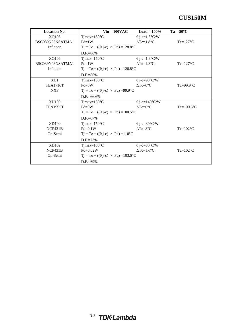| <b>Location No.</b> | $Vin = 100VAC$                                         | $Load = 100\%$       | $Ta = 50^{\circ}C$ |
|---------------------|--------------------------------------------------------|----------------------|--------------------|
| XQ105               | Tjmax= $150^{\circ}$ C                                 | $\theta$ j-c=1.8°C/W |                    |
| BSC039N06NSATMA1    | $Pd=1W$                                                | $\Delta Tc=1.8$ °C   | $Tc=127^{\circ}C$  |
| Infineon            | $Tj = Tc + ((\theta j - c) \times Pd) = 128.8$ °C      |                      |                    |
|                     | D.F.=86%                                               |                      |                    |
| XQ106               | $T$ jmax= $150^{\circ}$ C                              | $\theta$ j-c=1.8°C/W |                    |
| BSC039N06NSATMA1    | $Pd=1W$                                                | $\Delta Tc=1.8$ °C   | $Tc=127^{\circ}C$  |
| Infineon            | $Tj = Tc + ((\theta j - c) \times Pd) = 128.8$ °C      |                      |                    |
|                     | $D.F.=86%$                                             |                      |                    |
| XU1                 | Tjmax= $150^{\circ}$ C                                 | $\theta$ j-c=90°C/W  |                    |
| <b>TEA1716T</b>     | $Pd = 0W$                                              | $\Delta Tc=0$ °C     | $Tc=99.9$ °C       |
| <b>NXP</b>          | $Tj = Tc + ((\theta j - c) \times Pd) = 99.9^{\circ}C$ |                      |                    |
|                     | $D.F.=66.6%$                                           |                      |                    |
| <b>XU100</b>        | Tjmax= $150^{\circ}$ C                                 | $\theta$ j-c=140°C/W |                    |
| <b>TEA1995T</b>     | $Pd = 0W$                                              | $\Delta Tc=0$ °C     | $Tc=100.5$ °C      |
|                     | $Tj = Tc + ((\theta j - c) \times Pd) = 100.5$ °C      |                      |                    |
|                     | $D.F.=67%$                                             |                      |                    |
| <b>XD100</b>        | Tjmax= $150^{\circ}$ C                                 | $\theta$ j-c=80°C/W  |                    |
| NCP431B             | $Pd=0.1W$                                              | $\Delta Tc=8$ °C     | $Tc=102$ °C        |
| On-Semi             | $Tj = Tc + ((\theta j - c) \times Pd) = 110^{\circ}C$  |                      |                    |
|                     | $D.F.=73%$                                             |                      |                    |
| XD102               | Tjmax= $150^{\circ}$ C                                 | $\theta$ j-c=80°C/W  |                    |
| NCP431B             | $Pd=0.02W$                                             | $\Delta Tc=1.6$ °C   | $Tc=102$ °C        |
| On-Semi             | $Tj = Tc + ((\theta j - c) \times Pd) = 103.6$ °C      |                      |                    |
|                     | $D.F = 69\%$                                           |                      |                    |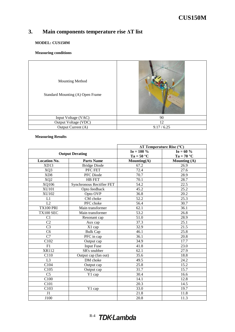### <span id="page-5-0"></span>**3. Main components temperature rise ΔT list**

#### **MODEL: CUS150M**

#### **Measuring conditions**

| <b>Mounting Method</b><br>Standard Mounting (A) Open Frame |             |
|------------------------------------------------------------|-------------|
|                                                            |             |
| Input Voltage (VAC)                                        | 90          |
| Output Voltage (VDC)                                       | 12          |
| Output Current (A)                                         | 9.17 / 6.25 |

#### **Measuring Results**

|                     |                           |                   | $\Delta T$ Temperature Rise (°C) |
|---------------------|---------------------------|-------------------|----------------------------------|
|                     | <b>Output Derating</b>    | $I_0 = 100 %$     | $I_0 = 60 \%$                    |
|                     |                           | $Ta = 50 °C$      | $Ta = 70 °C$                     |
| <b>Location No.</b> | <b>Parts Name</b>         | Mounting(A)       | Mounting (A)                     |
| XD13                | <b>Bridge Diode</b>       | 67.2              | 26.9                             |
| XQ3                 | PFC FET                   | 72.4              | 27.6                             |
| XD8                 | PFC Diode                 | $\overline{70.7}$ | 28.9                             |
| XQ <sub>2</sub>     | HB FET                    | 70.1              | 28.7                             |
| XQ106               | Synchronous Rectifier FET | 54.2              | 22.5                             |
| <b>XU101</b>        | Opto feedback             | 45.2              | 25.2                             |
| <b>XU102</b>        | Opto OVP                  | 36.8              | $\overline{20.2}$                |
| L1                  | CM choke                  | $\overline{52.2}$ | 25.3                             |
| L2                  | PFC choke                 | 56.4              | 30.7                             |
| TX100 PRI           | Main transformer          | 62.1              | 36.1                             |
| TX100 SEC           | Main transformer          | $\overline{53.2}$ | 26.8                             |
| C1                  | Resonant cap              | 51.0              | 28.9                             |
| C <sub>2</sub>      | Aux cap                   | 37.3              | $\overline{25.1}$                |
| $\overline{C3}$     | X1 cap                    | 32.9              | $\overline{21.5}$                |
| C6                  | <b>Bulk Cap</b>           | 46.1              | $\overline{25.8}$                |
| $\overline{C7}$     | $\overline{PFC}$ in cap   | 36.1              | 20.8                             |
| C102                | Output cap                | 34.9              | 17.7                             |
| $\overline{F1}$     | <b>Input Fuse</b>         | 41.8              | 23.0                             |
| XR112               | SR's snubber              | 62.1              | 27.9                             |
| C110                | Output cap (fan out)      | 35.6              | 18.8                             |
| L <sub>3</sub>      | DM choke                  | 49.5              | 24.2                             |
| C104                | Output cap                | 25.8              | 15.2                             |
| C105                | Output cap                | 31.7              | 15.7                             |
| $\overline{C5}$     | Y1 cap                    | 30.4              | 16.6                             |
| C <sub>100</sub>    |                           | 14.1              | 12.8                             |
| C101                |                           | 20.3              | 14.5                             |
| C103                | Y1 cap                    | 33.0              | 19.7                             |
| J1                  |                           | 21.8              | 11.8                             |
| J100                |                           | 20.8              | 11.3                             |

# R-4 TDK-Lambda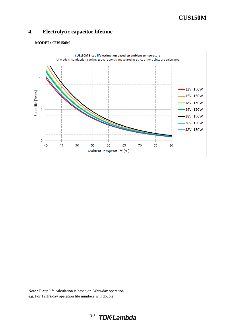### <span id="page-6-0"></span>**4. Electrolytic capacitor lifetime**

#### **MODEL: CUS150M**



Note : E-cap life calculation is based on 24hrs/day operation. e.g. For 12Hrs/day operation life numbers will double

# R-5 TDK.Lambda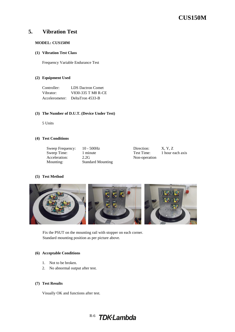### <span id="page-7-0"></span>**5. Vibration Test**

#### **MODEL: CUS150M**

#### **(1) Vibration Test Class**

Frequency Variable Endurance Test

#### **(2) Equipment Used**

| Controller:    | <b>LDS</b> Dactron Comet |
|----------------|--------------------------|
| Vibrator:      | V830-335 T M8 R-CE       |
| Accelerometer: | DeltaTron 4533-B         |

#### **(3) The Number of D.U.T. (Device Under Test)**

5 Units

#### **(4) Test Conditions**

| Sweep Frequency: | $10 - 500$ Hz            | Direction:    | X, Y, Z          |
|------------------|--------------------------|---------------|------------------|
| Sweep Time:      | 1 minute                 | Test Time:    | 1 hour each axis |
| Acceleration:    | 2.2G                     | Non-operation |                  |
| Mounting:        | <b>Standard Mounting</b> |               |                  |
|                  |                          |               |                  |

#### **(5) Test Method**



Fix the PSUT on the mounting rail with stopper on each corner. Standard mounting position as per picture above.

#### **(6) Acceptable Conditions**

- 1. Not to be broken.
- 2. No abnormal output after test.

#### **(7) Test Results**

Visually OK and functions after test.

# R-6 TDK-Lambda